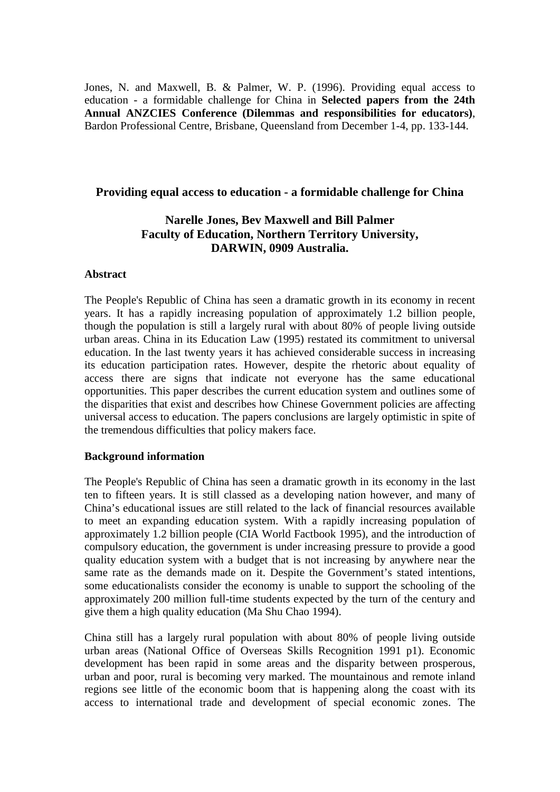Jones, N. and Maxwell, B. & Palmer, W. P. (1996). Providing equal access to education - a formidable challenge for China in **Selected papers from the 24th Annual ANZCIES Conference (Dilemmas and responsibilities for educators)**, Bardon Professional Centre, Brisbane, Queensland from December 1-4, pp. 133-144.

## **Providing equal access to education - a formidable challenge for China**

# **Narelle Jones, Bev Maxwell and Bill Palmer Faculty of Education, Northern Territory University, DARWIN, 0909 Australia.**

#### **Abstract**

The People's Republic of China has seen a dramatic growth in its economy in recent years. It has a rapidly increasing population of approximately 1.2 billion people, though the population is still a largely rural with about 80% of people living outside urban areas. China in its Education Law (1995) restated its commitment to universal education. In the last twenty years it has achieved considerable success in increasing its education participation rates. However, despite the rhetoric about equality of access there are signs that indicate not everyone has the same educational opportunities. This paper describes the current education system and outlines some of the disparities that exist and describes how Chinese Government policies are affecting universal access to education. The papers conclusions are largely optimistic in spite of the tremendous difficulties that policy makers face.

## **Background information**

The People's Republic of China has seen a dramatic growth in its economy in the last ten to fifteen years. It is still classed as a developing nation however, and many of China's educational issues are still related to the lack of financial resources available to meet an expanding education system. With a rapidly increasing population of approximately 1.2 billion people (CIA World Factbook 1995), and the introduction of compulsory education, the government is under increasing pressure to provide a good quality education system with a budget that is not increasing by anywhere near the same rate as the demands made on it. Despite the Government's stated intentions, some educationalists consider the economy is unable to support the schooling of the approximately 200 million full-time students expected by the turn of the century and give them a high quality education (Ma Shu Chao 1994).

China still has a largely rural population with about 80% of people living outside urban areas (National Office of Overseas Skills Recognition 1991 p1). Economic development has been rapid in some areas and the disparity between prosperous, urban and poor, rural is becoming very marked. The mountainous and remote inland regions see little of the economic boom that is happening along the coast with its access to international trade and development of special economic zones. The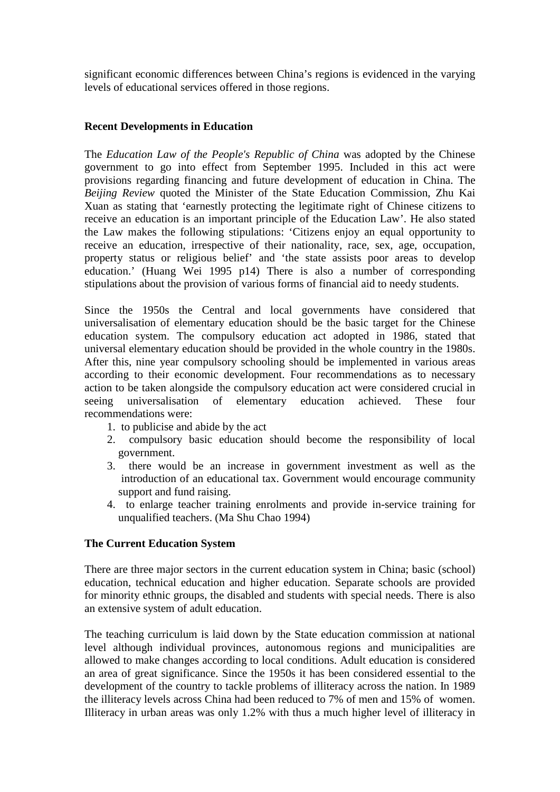significant economic differences between China's regions is evidenced in the varying levels of educational services offered in those regions.

## **Recent Developments in Education**

The *Education Law of the People's Republic of China* was adopted by the Chinese government to go into effect from September 1995. Included in this act were provisions regarding financing and future development of education in China. The *Beijing Review* quoted the Minister of the State Education Commission, Zhu Kai Xuan as stating that 'earnestly protecting the legitimate right of Chinese citizens to receive an education is an important principle of the Education Law'. He also stated the Law makes the following stipulations: 'Citizens enjoy an equal opportunity to receive an education, irrespective of their nationality, race, sex, age, occupation, property status or religious belief' and 'the state assists poor areas to develop education.' (Huang Wei 1995 p14) There is also a number of corresponding stipulations about the provision of various forms of financial aid to needy students.

Since the 1950s the Central and local governments have considered that universalisation of elementary education should be the basic target for the Chinese education system. The compulsory education act adopted in 1986, stated that universal elementary education should be provided in the whole country in the 1980s. After this, nine year compulsory schooling should be implemented in various areas according to their economic development. Four recommendations as to necessary action to be taken alongside the compulsory education act were considered crucial in seeing universalisation of elementary education achieved. These four recommendations were:

- 1. to publicise and abide by the act
- 2. compulsory basic education should become the responsibility of local government.
- 3. there would be an increase in government investment as well as the introduction of an educational tax. Government would encourage community support and fund raising.
- 4. to enlarge teacher training enrolments and provide in-service training for unqualified teachers. (Ma Shu Chao 1994)

## **The Current Education System**

There are three major sectors in the current education system in China; basic (school) education, technical education and higher education. Separate schools are provided for minority ethnic groups, the disabled and students with special needs. There is also an extensive system of adult education.

The teaching curriculum is laid down by the State education commission at national level although individual provinces, autonomous regions and municipalities are allowed to make changes according to local conditions. Adult education is considered an area of great significance. Since the 1950s it has been considered essential to the development of the country to tackle problems of illiteracy across the nation. In 1989 the illiteracy levels across China had been reduced to 7% of men and 15% of women. Illiteracy in urban areas was only 1.2% with thus a much higher level of illiteracy in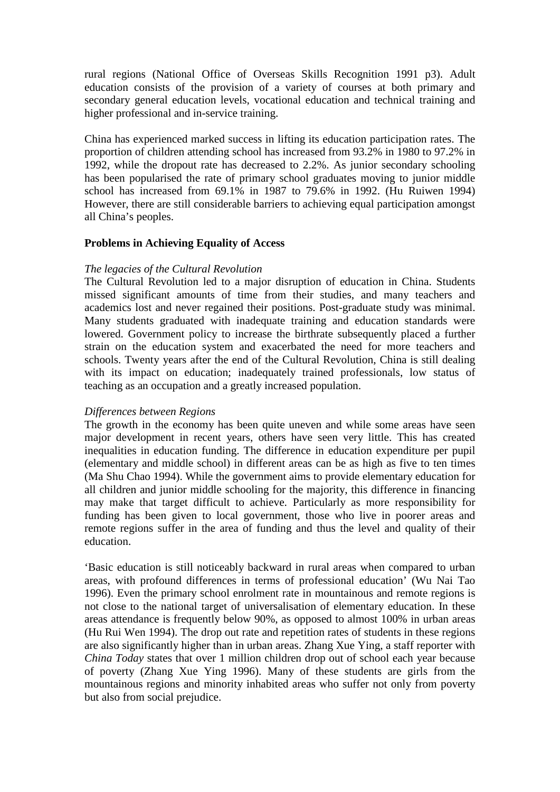rural regions (National Office of Overseas Skills Recognition 1991 p3). Adult education consists of the provision of a variety of courses at both primary and secondary general education levels, vocational education and technical training and higher professional and in-service training.

China has experienced marked success in lifting its education participation rates. The proportion of children attending school has increased from 93.2% in 1980 to 97.2% in 1992, while the dropout rate has decreased to 2.2%. As junior secondary schooling has been popularised the rate of primary school graduates moving to junior middle school has increased from 69.1% in 1987 to 79.6% in 1992. (Hu Ruiwen 1994) However, there are still considerable barriers to achieving equal participation amongst all China's peoples.

## **Problems in Achieving Equality of Access**

#### *The legacies of the Cultural Revolution*

The Cultural Revolution led to a major disruption of education in China. Students missed significant amounts of time from their studies, and many teachers and academics lost and never regained their positions. Post-graduate study was minimal. Many students graduated with inadequate training and education standards were lowered. Government policy to increase the birthrate subsequently placed a further strain on the education system and exacerbated the need for more teachers and schools. Twenty years after the end of the Cultural Revolution, China is still dealing with its impact on education; inadequately trained professionals, low status of teaching as an occupation and a greatly increased population.

## *Differences between Regions*

The growth in the economy has been quite uneven and while some areas have seen major development in recent years, others have seen very little. This has created inequalities in education funding. The difference in education expenditure per pupil (elementary and middle school) in different areas can be as high as five to ten times (Ma Shu Chao 1994). While the government aims to provide elementary education for all children and junior middle schooling for the majority, this difference in financing may make that target difficult to achieve. Particularly as more responsibility for funding has been given to local government, those who live in poorer areas and remote regions suffer in the area of funding and thus the level and quality of their education.

'Basic education is still noticeably backward in rural areas when compared to urban areas, with profound differences in terms of professional education' (Wu Nai Tao 1996). Even the primary school enrolment rate in mountainous and remote regions is not close to the national target of universalisation of elementary education. In these areas attendance is frequently below 90%, as opposed to almost 100% in urban areas (Hu Rui Wen 1994). The drop out rate and repetition rates of students in these regions are also significantly higher than in urban areas. Zhang Xue Ying, a staff reporter with *China Today* states that over 1 million children drop out of school each year because of poverty (Zhang Xue Ying 1996). Many of these students are girls from the mountainous regions and minority inhabited areas who suffer not only from poverty but also from social prejudice.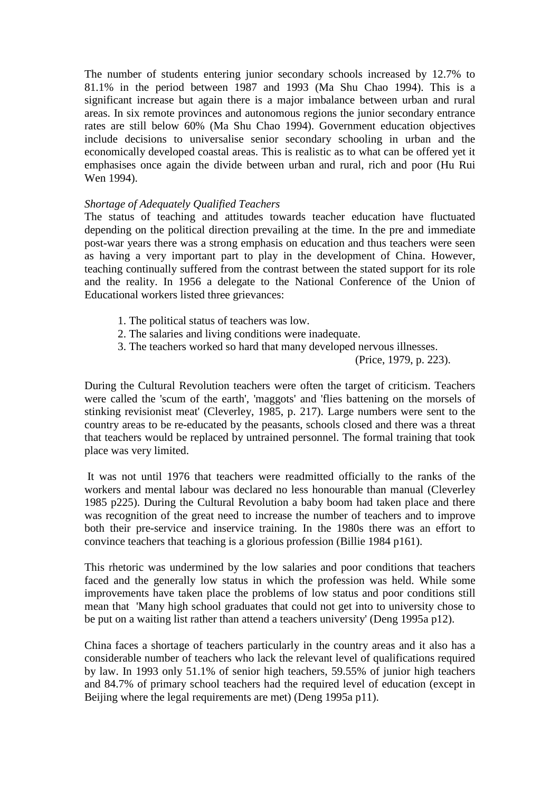The number of students entering junior secondary schools increased by 12.7% to 81.1% in the period between 1987 and 1993 (Ma Shu Chao 1994). This is a significant increase but again there is a major imbalance between urban and rural areas. In six remote provinces and autonomous regions the junior secondary entrance rates are still below 60% (Ma Shu Chao 1994). Government education objectives include decisions to universalise senior secondary schooling in urban and the economically developed coastal areas. This is realistic as to what can be offered yet it emphasises once again the divide between urban and rural, rich and poor (Hu Rui Wen 1994).

### *Shortage of Adequately Qualified Teachers*

The status of teaching and attitudes towards teacher education have fluctuated depending on the political direction prevailing at the time. In the pre and immediate post-war years there was a strong emphasis on education and thus teachers were seen as having a very important part to play in the development of China. However, teaching continually suffered from the contrast between the stated support for its role and the reality. In 1956 a delegate to the National Conference of the Union of Educational workers listed three grievances:

- 1. The political status of teachers was low.
- 2. The salaries and living conditions were inadequate.
- 3. The teachers worked so hard that many developed nervous illnesses.

(Price, 1979, p. 223).

During the Cultural Revolution teachers were often the target of criticism. Teachers were called the 'scum of the earth', 'maggots' and 'flies battening on the morsels of stinking revisionist meat' (Cleverley, 1985, p. 217). Large numbers were sent to the country areas to be re-educated by the peasants, schools closed and there was a threat that teachers would be replaced by untrained personnel. The formal training that took place was very limited.

It was not until 1976 that teachers were readmitted officially to the ranks of the workers and mental labour was declared no less honourable than manual (Cleverley 1985 p225). During the Cultural Revolution a baby boom had taken place and there was recognition of the great need to increase the number of teachers and to improve both their pre-service and inservice training. In the 1980s there was an effort to convince teachers that teaching is a glorious profession (Billie 1984 p161).

This rhetoric was undermined by the low salaries and poor conditions that teachers faced and the generally low status in which the profession was held. While some improvements have taken place the problems of low status and poor conditions still mean that 'Many high school graduates that could not get into to university chose to be put on a waiting list rather than attend a teachers university' (Deng 1995a p12).

China faces a shortage of teachers particularly in the country areas and it also has a considerable number of teachers who lack the relevant level of qualifications required by law. In 1993 only 51.1% of senior high teachers, 59.55% of junior high teachers and 84.7% of primary school teachers had the required level of education (except in Beijing where the legal requirements are met) (Deng 1995a p11).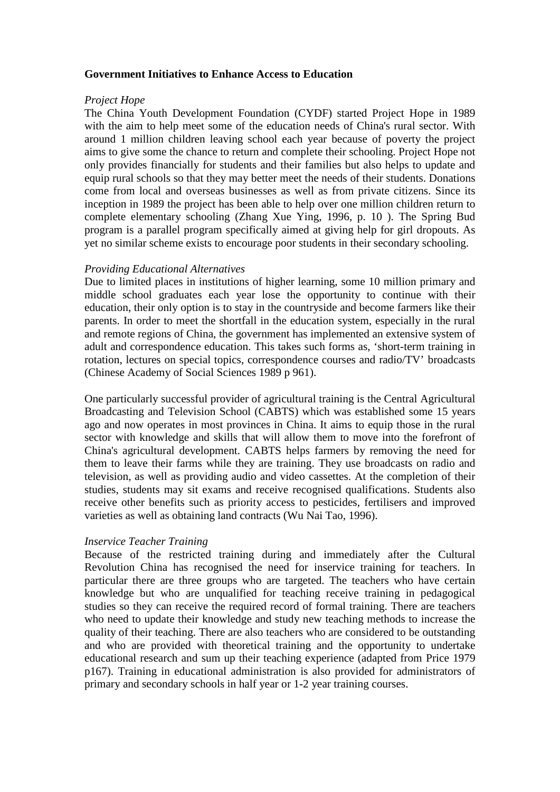### **Government Initiatives to Enhance Access to Education**

#### *Project Hope*

The China Youth Development Foundation (CYDF) started Project Hope in 1989 with the aim to help meet some of the education needs of China's rural sector. With around 1 million children leaving school each year because of poverty the project aims to give some the chance to return and complete their schooling. Project Hope not only provides financially for students and their families but also helps to update and equip rural schools so that they may better meet the needs of their students. Donations come from local and overseas businesses as well as from private citizens. Since its inception in 1989 the project has been able to help over one million children return to complete elementary schooling (Zhang Xue Ying, 1996, p. 10 ). The Spring Bud program is a parallel program specifically aimed at giving help for girl dropouts. As yet no similar scheme exists to encourage poor students in their secondary schooling.

## *Providing Educational Alternatives*

Due to limited places in institutions of higher learning, some 10 million primary and middle school graduates each year lose the opportunity to continue with their education, their only option is to stay in the countryside and become farmers like their parents. In order to meet the shortfall in the education system, especially in the rural and remote regions of China, the government has implemented an extensive system of adult and correspondence education. This takes such forms as, 'short-term training in rotation, lectures on special topics, correspondence courses and radio/TV' broadcasts (Chinese Academy of Social Sciences 1989 p 961).

One particularly successful provider of agricultural training is the Central Agricultural Broadcasting and Television School (CABTS) which was established some 15 years ago and now operates in most provinces in China. It aims to equip those in the rural sector with knowledge and skills that will allow them to move into the forefront of China's agricultural development. CABTS helps farmers by removing the need for them to leave their farms while they are training. They use broadcasts on radio and television, as well as providing audio and video cassettes. At the completion of their studies, students may sit exams and receive recognised qualifications. Students also receive other benefits such as priority access to pesticides, fertilisers and improved varieties as well as obtaining land contracts (Wu Nai Tao, 1996).

## *Inservice Teacher Training*

Because of the restricted training during and immediately after the Cultural Revolution China has recognised the need for inservice training for teachers. In particular there are three groups who are targeted. The teachers who have certain knowledge but who are unqualified for teaching receive training in pedagogical studies so they can receive the required record of formal training. There are teachers who need to update their knowledge and study new teaching methods to increase the quality of their teaching. There are also teachers who are considered to be outstanding and who are provided with theoretical training and the opportunity to undertake educational research and sum up their teaching experience (adapted from Price 1979 p167). Training in educational administration is also provided for administrators of primary and secondary schools in half year or 1-2 year training courses.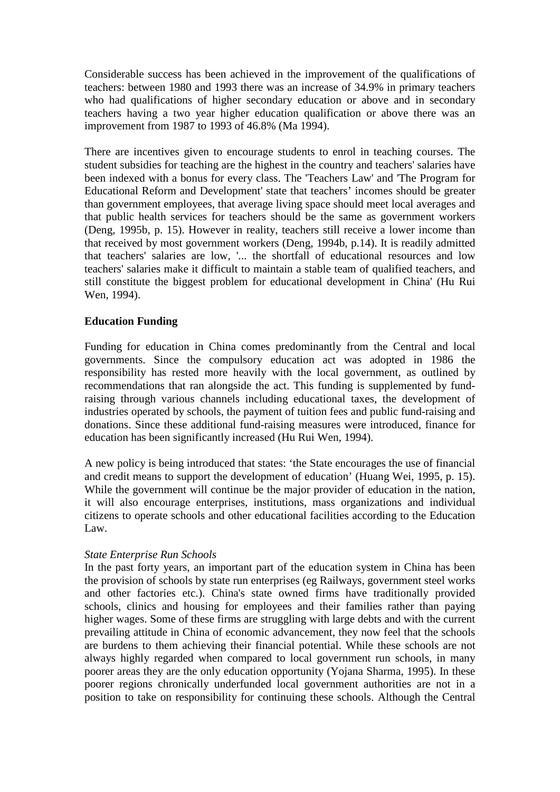Considerable success has been achieved in the improvement of the qualifications of teachers: between 1980 and 1993 there was an increase of 34.9% in primary teachers who had qualifications of higher secondary education or above and in secondary teachers having a two year higher education qualification or above there was an improvement from 1987 to 1993 of 46.8% (Ma 1994).

There are incentives given to encourage students to enrol in teaching courses. The student subsidies for teaching are the highest in the country and teachers' salaries have been indexed with a bonus for every class. The 'Teachers Law' and 'The Program for Educational Reform and Development' state that teachers' incomes should be greater than government employees, that average living space should meet local averages and that public health services for teachers should be the same as government workers (Deng, 1995b, p. 15). However in reality, teachers still receive a lower income than that received by most government workers (Deng, 1994b, p.14). It is readily admitted that teachers' salaries are low, '... the shortfall of educational resources and low teachers' salaries make it difficult to maintain a stable team of qualified teachers, and still constitute the biggest problem for educational development in China' (Hu Rui Wen, 1994).

## **Education Funding**

Funding for education in China comes predominantly from the Central and local governments. Since the compulsory education act was adopted in 1986 the responsibility has rested more heavily with the local government, as outlined by recommendations that ran alongside the act. This funding is supplemented by fundraising through various channels including educational taxes, the development of industries operated by schools, the payment of tuition fees and public fund-raising and donations. Since these additional fund-raising measures were introduced, finance for education has been significantly increased (Hu Rui Wen, 1994).

A new policy is being introduced that states: 'the State encourages the use of financial and credit means to support the development of education' (Huang Wei, 1995, p. 15). While the government will continue be the major provider of education in the nation, it will also encourage enterprises, institutions, mass organizations and individual citizens to operate schools and other educational facilities according to the Education Law.

## *State Enterprise Run Schools*

In the past forty years, an important part of the education system in China has been the provision of schools by state run enterprises (eg Railways, government steel works and other factories etc.). China's state owned firms have traditionally provided schools, clinics and housing for employees and their families rather than paying higher wages. Some of these firms are struggling with large debts and with the current prevailing attitude in China of economic advancement, they now feel that the schools are burdens to them achieving their financial potential. While these schools are not always highly regarded when compared to local government run schools, in many poorer areas they are the only education opportunity (Yojana Sharma, 1995). In these poorer regions chronically underfunded local government authorities are not in a position to take on responsibility for continuing these schools. Although the Central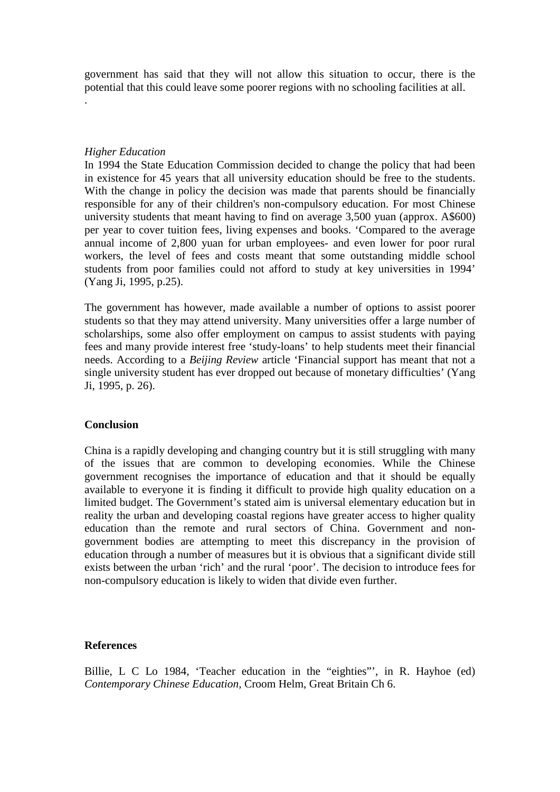government has said that they will not allow this situation to occur, there is the potential that this could leave some poorer regions with no schooling facilities at all.

*Higher Education*

.

In 1994 the State Education Commission decided to change the policy that had been in existence for 45 years that all university education should be free to the students. With the change in policy the decision was made that parents should be financially responsible for any of their children's non-compulsory education. For most Chinese university students that meant having to find on average 3,500 yuan (approx. A\$600) per year to cover tuition fees, living expenses and books. 'Compared to the average annual income of 2,800 yuan for urban employees- and even lower for poor rural workers, the level of fees and costs meant that some outstanding middle school students from poor families could not afford to study at key universities in 1994' (Yang Ji, 1995, p.25).

The government has however, made available a number of options to assist poorer students so that they may attend university. Many universities offer a large number of scholarships, some also offer employment on campus to assist students with paying fees and many provide interest free 'study-loans' to help students meet their financial needs. According to a *Beijing Review* article 'Financial support has meant that not a single university student has ever dropped out because of monetary difficulties' (Yang Ji, 1995, p. 26).

#### **Conclusion**

China is a rapidly developing and changing country but it is still struggling with many of the issues that are common to developing economies. While the Chinese government recognises the importance of education and that it should be equally available to everyone it is finding it difficult to provide high quality education on a limited budget. The Government's stated aim is universal elementary education but in reality the urban and developing coastal regions have greater access to higher quality education than the remote and rural sectors of China. Government and nongovernment bodies are attempting to meet this discrepancy in the provision of education through a number of measures but it is obvious that a significant divide still exists between the urban 'rich' and the rural 'poor'. The decision to introduce fees for non-compulsory education is likely to widen that divide even further.

#### **References**

Billie, L C Lo 1984, 'Teacher education in the "eighties"', in R. Hayhoe (ed) *Contemporary Chinese Education,* Croom Helm, Great Britain Ch 6.